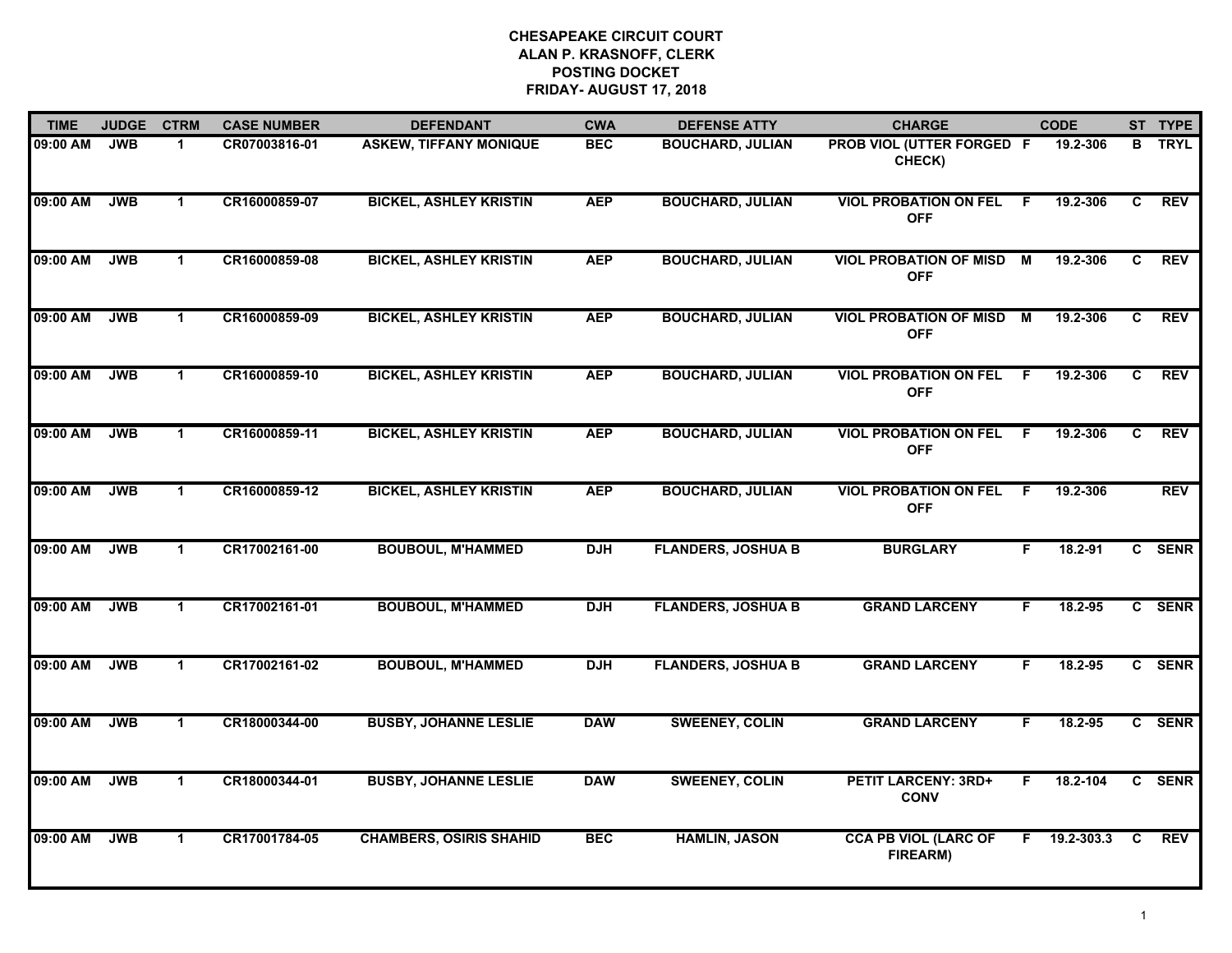| <b>TIME</b> | <b>JUDGE</b> | <b>CTRM</b>          | <b>CASE NUMBER</b> | <b>DEFENDANT</b>               | <b>CWA</b> | <b>DEFENSE ATTY</b>       | <b>CHARGE</b>                               |                | <b>CODE</b>    |    | ST TYPE       |
|-------------|--------------|----------------------|--------------------|--------------------------------|------------|---------------------------|---------------------------------------------|----------------|----------------|----|---------------|
| 09:00 AM    | <b>JWB</b>   | $\mathbf 1$          | CR07003816-01      | <b>ASKEW, TIFFANY MONIQUE</b>  | <b>BEC</b> | <b>BOUCHARD, JULIAN</b>   | <b>PROB VIOL (UTTER FORGED F</b><br>CHECK)  |                | 19.2-306       |    | <b>B</b> TRYL |
| 09:00 AM    | <b>JWB</b>   | $\mathbf{1}$         | CR16000859-07      | <b>BICKEL, ASHLEY KRISTIN</b>  | <b>AEP</b> | <b>BOUCHARD, JULIAN</b>   | <b>VIOL PROBATION ON FEL</b><br><b>OFF</b>  | F.             | 19.2-306       | C  | <b>REV</b>    |
| 09:00 AM    | <b>JWB</b>   | $\mathbf 1$          | CR16000859-08      | <b>BICKEL, ASHLEY KRISTIN</b>  | <b>AEP</b> | <b>BOUCHARD, JULIAN</b>   | <b>VIOL PROBATION OF MISD</b><br><b>OFF</b> | M              | 19.2-306       | C  | <b>REV</b>    |
| 09:00 AM    | <b>JWB</b>   | $\mathbf 1$          | CR16000859-09      | <b>BICKEL, ASHLEY KRISTIN</b>  | <b>AEP</b> | <b>BOUCHARD, JULIAN</b>   | <b>VIOL PROBATION OF MISD</b><br><b>OFF</b> | M              | 19.2-306       | C  | <b>REV</b>    |
| 09:00 AM    | <b>JWB</b>   | $\mathbf{1}$         | CR16000859-10      | <b>BICKEL, ASHLEY KRISTIN</b>  | <b>AEP</b> | <b>BOUCHARD, JULIAN</b>   | <b>VIOL PROBATION ON FEL</b><br><b>OFF</b>  | -F             | 19.2-306       | C  | <b>REV</b>    |
| 09:00 AM    | <b>JWB</b>   | $\mathbf{1}$         | CR16000859-11      | <b>BICKEL, ASHLEY KRISTIN</b>  | <b>AEP</b> | <b>BOUCHARD, JULIAN</b>   | <b>VIOL PROBATION ON FEL</b><br><b>OFF</b>  | F.             | 19.2-306       | C. | <b>REV</b>    |
| 09:00 AM    | <b>JWB</b>   | $\mathbf{1}$         | CR16000859-12      | <b>BICKEL, ASHLEY KRISTIN</b>  | <b>AEP</b> | <b>BOUCHARD, JULIAN</b>   | <b>VIOL PROBATION ON FEL</b><br><b>OFF</b>  | $\overline{F}$ | 19.2-306       |    | <b>REV</b>    |
| 09:00 AM    | <b>JWB</b>   | $\mathbf{1}$         | CR17002161-00      | <b>BOUBOUL, M'HAMMED</b>       | <b>DJH</b> | <b>FLANDERS, JOSHUA B</b> | <b>BURGLARY</b>                             | F.             | 18.2-91        |    | C SENR        |
| 09:00 AM    | <b>JWB</b>   | $\blacktriangleleft$ | CR17002161-01      | <b>BOUBOUL, M'HAMMED</b>       | <b>DJH</b> | <b>FLANDERS, JOSHUA B</b> | <b>GRAND LARCENY</b>                        | F              | 18.2-95        |    | C SENR        |
| 09:00 AM    | <b>JWB</b>   | $\mathbf 1$          | CR17002161-02      | <b>BOUBOUL, M'HAMMED</b>       | <b>DJH</b> | <b>FLANDERS, JOSHUA B</b> | <b>GRAND LARCENY</b>                        | F.             | 18.2-95        |    | C SENR        |
| 09:00 AM    | <b>JWB</b>   | $\mathbf 1$          | CR18000344-00      | <b>BUSBY, JOHANNE LESLIE</b>   | <b>DAW</b> | <b>SWEENEY, COLIN</b>     | <b>GRAND LARCENY</b>                        | F.             | 18.2-95        |    | C SENR        |
| 09:00 AM    | <b>JWB</b>   | $\mathbf{1}$         | CR18000344-01      | <b>BUSBY, JOHANNE LESLIE</b>   | <b>DAW</b> | <b>SWEENEY, COLIN</b>     | <b>PETIT LARCENY: 3RD+</b><br><b>CONV</b>   | F.             | 18.2-104       |    | C SENR        |
| 09:00 AM    | <b>JWB</b>   | $\mathbf 1$          | CR17001784-05      | <b>CHAMBERS, OSIRIS SHAHID</b> | <b>BEC</b> | <b>HAMLIN, JASON</b>      | <b>CCA PB VIOL (LARC OF</b><br>FIREARM)     |                | $F$ 19.2-303.3 | C  | <b>REV</b>    |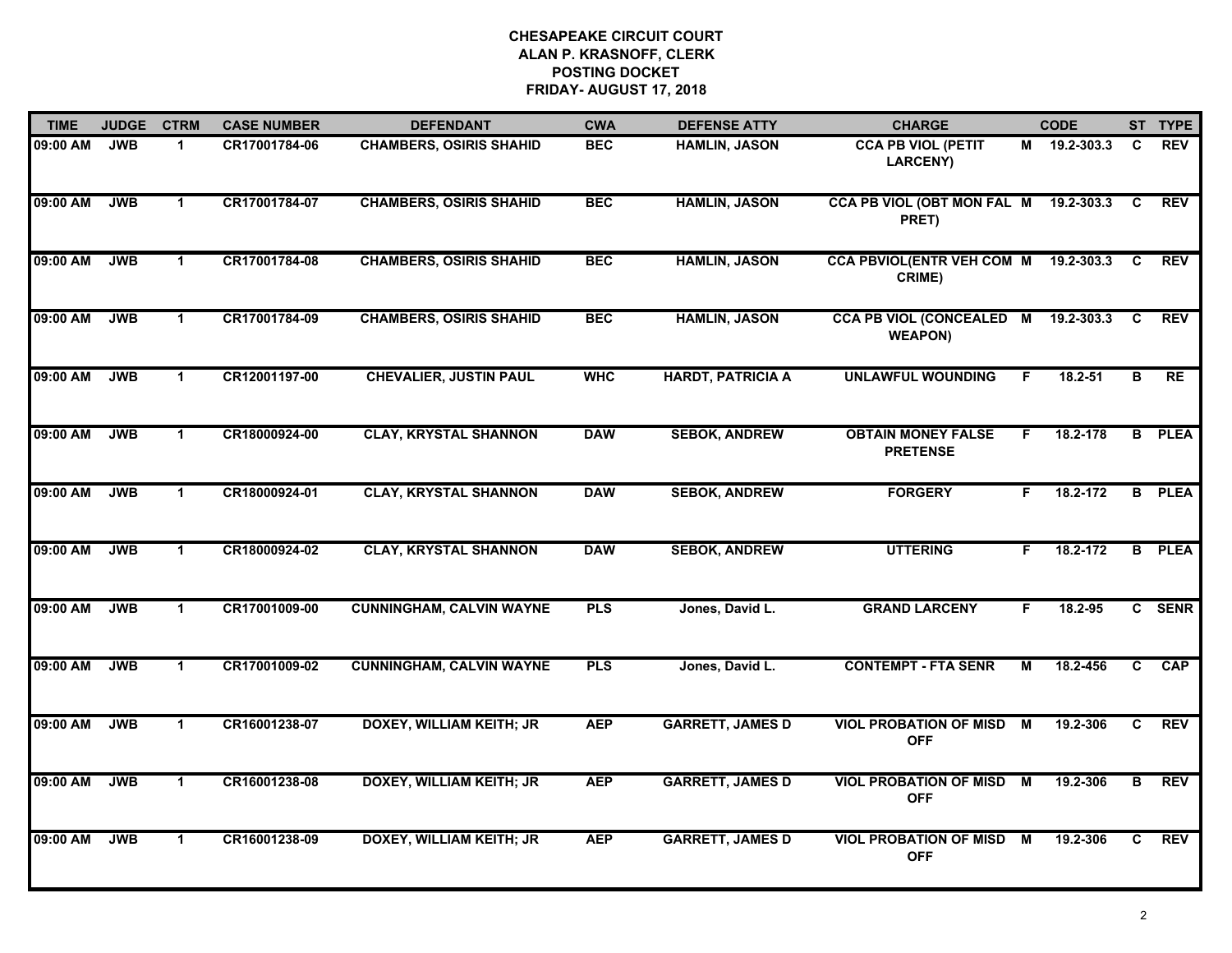| <b>TIME</b> | <b>JUDGE</b> | <b>CTRM</b>  | <b>CASE NUMBER</b> | <b>DEFENDANT</b>                | <b>CWA</b> | <b>DEFENSE ATTY</b>      | <b>CHARGE</b>                                     |                | <b>CODE</b>  |                | ST TYPE       |
|-------------|--------------|--------------|--------------------|---------------------------------|------------|--------------------------|---------------------------------------------------|----------------|--------------|----------------|---------------|
| 09:00 AM    | <b>JWB</b>   | 1.           | CR17001784-06      | <b>CHAMBERS, OSIRIS SHAHID</b>  | <b>BEC</b> | <b>HAMLIN, JASON</b>     | <b>CCA PB VIOL (PETIT</b><br><b>LARCENY)</b>      |                | M 19.2-303.3 | C              | <b>REV</b>    |
| 09:00 AM    | <b>JWB</b>   | $\mathbf{1}$ | CR17001784-07      | <b>CHAMBERS, OSIRIS SHAHID</b>  | <b>BEC</b> | <b>HAMLIN, JASON</b>     | CCA PB VIOL (OBT MON FAL M 19.2-303.3<br>PRET)    |                |              | C              | <b>REV</b>    |
| 09:00 AM    | <b>JWB</b>   | $\mathbf 1$  | CR17001784-08      | <b>CHAMBERS, OSIRIS SHAHID</b>  | <b>BEC</b> | <b>HAMLIN, JASON</b>     | CCA PBVIOL(ENTR VEH COM M 19.2-303.3<br>CRIME)    |                |              | <b>C</b>       | <b>REV</b>    |
| 09:00 AM    | <b>JWB</b>   | 1            | CR17001784-09      | <b>CHAMBERS, OSIRIS SHAHID</b>  | <b>BEC</b> | <b>HAMLIN, JASON</b>     | <b>CCA PB VIOL (CONCEALED M</b><br><b>WEAPON)</b> |                | 19.2-303.3   | C              | <b>REV</b>    |
| 09:00 AM    | <b>JWB</b>   | $\mathbf{1}$ | CR12001197-00      | <b>CHEVALIER, JUSTIN PAUL</b>   | <b>WHC</b> | <b>HARDT, PATRICIA A</b> | <b>UNLAWFUL WOUNDING</b>                          | F.             | $18.2 - 51$  | B              | <b>RE</b>     |
| 09:00 AM    | <b>JWB</b>   | $\mathbf{1}$ | CR18000924-00      | <b>CLAY, KRYSTAL SHANNON</b>    | <b>DAW</b> | <b>SEBOK, ANDREW</b>     | <b>OBTAIN MONEY FALSE</b><br><b>PRETENSE</b>      | F.             | 18.2-178     |                | <b>B</b> PLEA |
| 09:00 AM    | <b>JWB</b>   | $\mathbf 1$  | CR18000924-01      | <b>CLAY, KRYSTAL SHANNON</b>    | <b>DAW</b> | <b>SEBOK, ANDREW</b>     | <b>FORGERY</b>                                    | F.             | 18.2-172     |                | <b>B</b> PLEA |
| 09:00 AM    | <b>JWB</b>   | $\mathbf 1$  | CR18000924-02      | <b>CLAY, KRYSTAL SHANNON</b>    | <b>DAW</b> | <b>SEBOK, ANDREW</b>     | <b>UTTERING</b>                                   | F.             | 18.2-172     |                | <b>B</b> PLEA |
| 09:00 AM    | <b>JWB</b>   | $\mathbf{1}$ | CR17001009-00      | <b>CUNNINGHAM, CALVIN WAYNE</b> | <b>PLS</b> | Jones, David L.          | <b>GRAND LARCENY</b>                              | F.             | 18.2-95      |                | C SENR        |
| 09:00 AM    | <b>JWB</b>   | $\mathbf{1}$ | CR17001009-02      | <b>CUNNINGHAM, CALVIN WAYNE</b> | <b>PLS</b> | Jones, David L.          | <b>CONTEMPT - FTA SENR</b>                        | M              | 18.2-456     | C              | <b>CAP</b>    |
| 09:00 AM    | <b>JWB</b>   | $\mathbf{1}$ | CR16001238-07      | <b>DOXEY, WILLIAM KEITH; JR</b> | <b>AEP</b> | <b>GARRETT, JAMES D</b>  | <b>VIOL PROBATION OF MISD M</b><br><b>OFF</b>     |                | 19.2-306     | $\overline{c}$ | <b>REV</b>    |
| 09:00 AM    | <b>JWB</b>   | $\mathbf{1}$ | CR16001238-08      | <b>DOXEY, WILLIAM KEITH; JR</b> | <b>AEP</b> | <b>GARRETT, JAMES D</b>  | <b>VIOL PROBATION OF MISD</b><br><b>OFF</b>       | $\overline{M}$ | 19.2-306     | $\overline{B}$ | <b>REV</b>    |
| 09:00 AM    | <b>JWB</b>   | $\mathbf 1$  | CR16001238-09      | <b>DOXEY, WILLIAM KEITH; JR</b> | <b>AEP</b> | <b>GARRETT, JAMES D</b>  | <b>VIOL PROBATION OF MISD</b><br><b>OFF</b>       | M              | 19.2-306     | C              | <b>REV</b>    |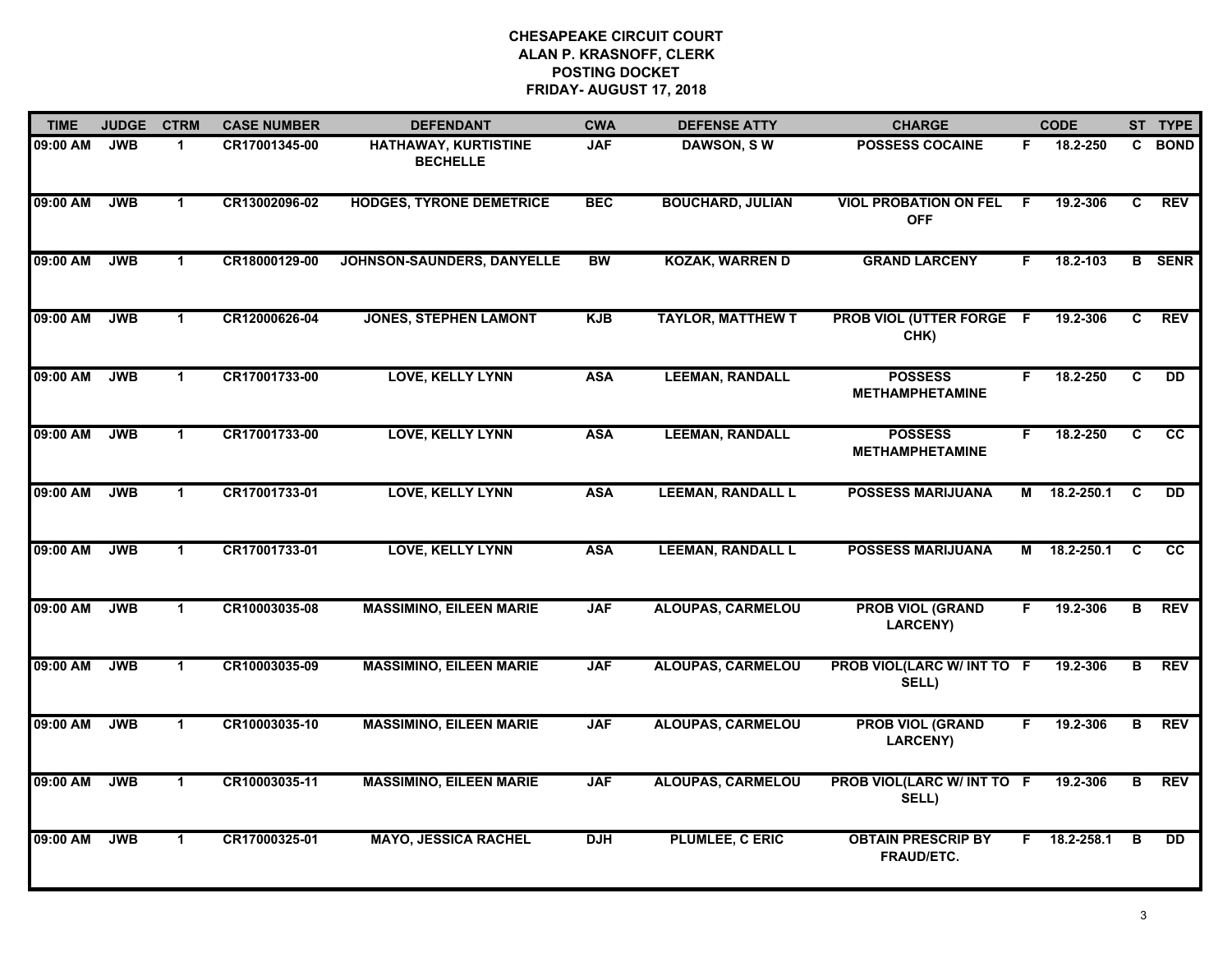| <b>TIME</b> | <b>JUDGE</b> | <b>CTRM</b>          | <b>CASE NUMBER</b> | <b>DEFENDANT</b>                        | <b>CWA</b> | <b>DEFENSE ATTY</b>      | <b>CHARGE</b>                                  |    | <b>CODE</b> |                         | ST TYPE         |
|-------------|--------------|----------------------|--------------------|-----------------------------------------|------------|--------------------------|------------------------------------------------|----|-------------|-------------------------|-----------------|
| 09:00 AM    | <b>JWB</b>   | 1                    | CR17001345-00      | HATHAWAY, KURTISTINE<br><b>BECHELLE</b> | <b>JAF</b> | <b>DAWSON, SW</b>        | <b>POSSESS COCAINE</b>                         | F. | 18.2-250    |                         | C BOND          |
| 09:00 AM    | <b>JWB</b>   | $\mathbf 1$          | CR13002096-02      | <b>HODGES, TYRONE DEMETRICE</b>         | <b>BEC</b> | <b>BOUCHARD, JULIAN</b>  | <b>VIOL PROBATION ON FEL</b><br><b>OFF</b>     | -F | 19.2-306    | C                       | <b>REV</b>      |
| 09:00 AM    | <b>JWB</b>   | $\mathbf 1$          | CR18000129-00      | JOHNSON-SAUNDERS, DANYELLE              | <b>BW</b>  | <b>KOZAK, WARREN D</b>   | <b>GRAND LARCENY</b>                           | F. | 18.2-103    |                         | <b>B</b> SENR   |
| 09:00 AM    | <b>JWB</b>   | $\mathbf 1$          | CR12000626-04      | <b>JONES, STEPHEN LAMONT</b>            | <b>KJB</b> | <b>TAYLOR, MATTHEW T</b> | <b>PROB VIOL (UTTER FORGE F</b><br>CHK)        |    | 19.2-306    | C.                      | <b>REV</b>      |
| 09:00 AM    | <b>JWB</b>   | $\mathbf 1$          | CR17001733-00      | <b>LOVE, KELLY LYNN</b>                 | <b>ASA</b> | <b>LEEMAN, RANDALL</b>   | <b>POSSESS</b><br><b>METHAMPHETAMINE</b>       | F. | 18.2-250    | C                       | <b>DD</b>       |
| 09:00 AM    | <b>JWB</b>   | $\mathbf 1$          | CR17001733-00      | LOVE, KELLY LYNN                        | <b>ASA</b> | <b>LEEMAN, RANDALL</b>   | <b>POSSESS</b><br><b>METHAMPHETAMINE</b>       | F. | 18.2-250    | C                       | <b>CC</b>       |
| 09:00 AM    | <b>JWB</b>   | $\mathbf{1}$         | CR17001733-01      | <b>LOVE, KELLY LYNN</b>                 | <b>ASA</b> | <b>LEEMAN, RANDALL L</b> | <b>POSSESS MARIJUANA</b>                       | М  | 18.2-250.1  | C                       | $\overline{DD}$ |
| 09:00 AM    | <b>JWB</b>   | $\mathbf{1}$         | CR17001733-01      | LOVE, KELLY LYNN                        | <b>ASA</b> | <b>LEEMAN, RANDALL L</b> | <b>POSSESS MARIJUANA</b>                       | M  | 18.2-250.1  | $\overline{\mathbf{c}}$ | $\overline{cc}$ |
| 09:00 AM    | <b>JWB</b>   | $\mathbf 1$          | CR10003035-08      | <b>MASSIMINO, EILEEN MARIE</b>          | <b>JAF</b> | <b>ALOUPAS, CARMELOU</b> | <b>PROB VIOL (GRAND</b><br><b>LARCENY)</b>     | F. | 19.2-306    | в                       | <b>REV</b>      |
| 09:00 AM    | <b>JWB</b>   | $\mathbf 1$          | CR10003035-09      | <b>MASSIMINO, EILEEN MARIE</b>          | <b>JAF</b> | <b>ALOUPAS, CARMELOU</b> | PROB VIOL(LARC W/ INT TO F<br>SELL)            |    | 19.2-306    | в                       | <b>REV</b>      |
| 09:00 AM    | <b>JWB</b>   | 1                    | CR10003035-10      | <b>MASSIMINO, EILEEN MARIE</b>          | <b>JAF</b> | <b>ALOUPAS, CARMELOU</b> | <b>PROB VIOL (GRAND</b><br><b>LARCENY)</b>     | F. | 19.2-306    | в                       | <b>REV</b>      |
| 09:00 AM    | <b>JWB</b>   | $\blacktriangleleft$ | CR10003035-11      | <b>MASSIMINO, EILEEN MARIE</b>          | <b>JAF</b> | ALOUPAS, CARMELOU        | PROB VIOL(LARC W/ INT TO F<br>SELL)            |    | 19.2-306    | в                       | <b>REV</b>      |
| 09:00 AM    | <b>JWB</b>   | $\mathbf{1}$         | CR17000325-01      | <b>MAYO, JESSICA RACHEL</b>             | <b>DJH</b> | <b>PLUMLEE, C ERIC</b>   | <b>OBTAIN PRESCRIP BY</b><br><b>FRAUD/ETC.</b> | F. | 18.2-258.1  | $\overline{\mathbf{B}}$ | $\overline{DD}$ |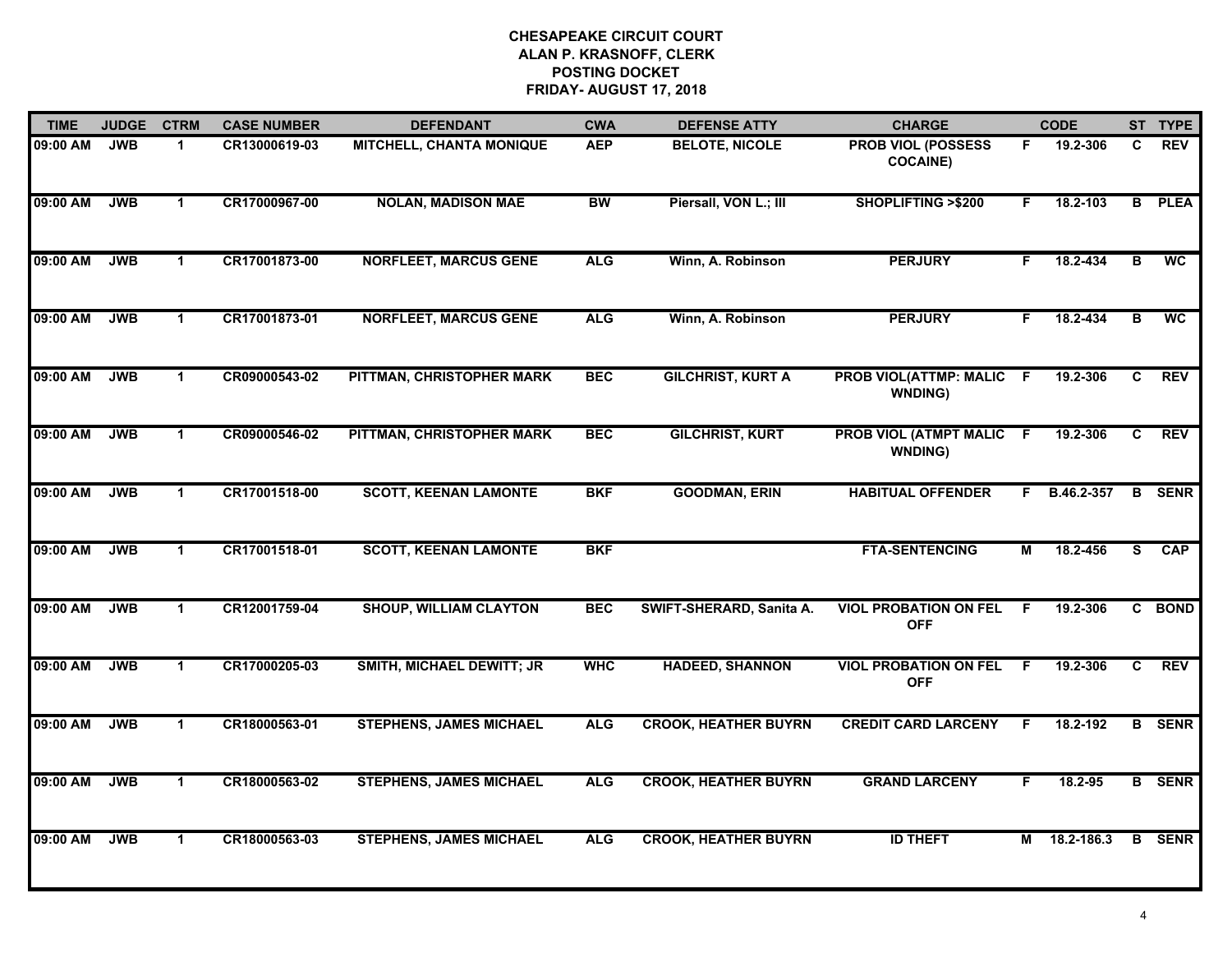| <b>TIME</b> | <b>JUDGE</b> | <b>CTRM</b>          | <b>CASE NUMBER</b> | <b>DEFENDANT</b>                | <b>CWA</b> | <b>DEFENSE ATTY</b>         | <b>CHARGE</b>                                   |    | <b>CODE</b>  |                         | ST TYPE       |
|-------------|--------------|----------------------|--------------------|---------------------------------|------------|-----------------------------|-------------------------------------------------|----|--------------|-------------------------|---------------|
| 09:00 AM    | <b>JWB</b>   | $\mathbf 1$          | CR13000619-03      | <b>MITCHELL, CHANTA MONIQUE</b> | <b>AEP</b> | <b>BELOTE, NICOLE</b>       | <b>PROB VIOL (POSSESS</b><br><b>COCAINE)</b>    | F. | 19.2-306     | C                       | <b>REV</b>    |
| 09:00 AM    | <b>JWB</b>   | $\mathbf{1}$         | CR17000967-00      | <b>NOLAN, MADISON MAE</b>       | <b>BW</b>  | Piersall, VON L.; III       | <b>SHOPLIFTING &gt;\$200</b>                    | F. | 18.2-103     |                         | <b>B</b> PLEA |
| 09:00 AM    | <b>JWB</b>   | $\mathbf 1$          | CR17001873-00      | <b>NORFLEET, MARCUS GENE</b>    | <b>ALG</b> | Winn, A. Robinson           | <b>PERJURY</b>                                  | F. | 18.2-434     | $\overline{\mathsf{B}}$ | <b>WC</b>     |
| 09:00 AM    | <b>JWB</b>   | 1                    | CR17001873-01      | <b>NORFLEET, MARCUS GENE</b>    | <b>ALG</b> | Winn, A. Robinson           | <b>PERJURY</b>                                  | F. | 18.2-434     | в                       | <b>WC</b>     |
| 09:00 AM    | <b>JWB</b>   | $\mathbf 1$          | CR09000543-02      | PITTMAN, CHRISTOPHER MARK       | <b>BEC</b> | <b>GILCHRIST, KURT A</b>    | <b>PROB VIOL(ATTMP: MALIC</b><br><b>WNDING)</b> | F. | 19.2-306     | C                       | <b>REV</b>    |
| 09:00 AM    | <b>JWB</b>   | $\mathbf 1$          | CR09000546-02      | PITTMAN, CHRISTOPHER MARK       | <b>BEC</b> | <b>GILCHRIST, KURT</b>      | PROB VIOL (ATMPT MALIC F<br><b>WNDING)</b>      |    | 19.2-306     | C.                      | <b>REV</b>    |
| 09:00 AM    | <b>JWB</b>   | $\mathbf 1$          | CR17001518-00      | <b>SCOTT, KEENAN LAMONTE</b>    | <b>BKF</b> | <b>GOODMAN, ERIN</b>        | <b>HABITUAL OFFENDER</b>                        |    | F B.46.2-357 |                         | <b>B</b> SENR |
| 09:00 AM    | <b>JWB</b>   | $\mathbf 1$          | CR17001518-01      | <b>SCOTT, KEENAN LAMONTE</b>    | <b>BKF</b> |                             | <b>FTA-SENTENCING</b>                           | М  | 18.2-456     | S                       | <b>CAP</b>    |
| 09:00 AM    | <b>JWB</b>   | $\mathbf 1$          | CR12001759-04      | <b>SHOUP, WILLIAM CLAYTON</b>   | <b>BEC</b> | SWIFT-SHERARD, Sanita A.    | <b>VIOL PROBATION ON FEL</b><br><b>OFF</b>      | F  | 19.2-306     |                         | C BOND        |
| 09:00 AM    | <b>JWB</b>   | $\blacktriangleleft$ | CR17000205-03      | SMITH, MICHAEL DEWITT; JR       | <b>WHC</b> | <b>HADEED, SHANNON</b>      | <b>VIOL PROBATION ON FEL</b><br><b>OFF</b>      | -F | 19.2-306     | C                       | <b>REV</b>    |
| 09:00 AM    | <b>JWB</b>   | $\mathbf 1$          | CR18000563-01      | <b>STEPHENS, JAMES MICHAEL</b>  | <b>ALG</b> | <b>CROOK, HEATHER BUYRN</b> | <b>CREDIT CARD LARCENY</b>                      | F. | 18.2-192     |                         | <b>B</b> SENR |
| 09:00 AM    | <b>JWB</b>   | $\mathbf 1$          | CR18000563-02      | <b>STEPHENS, JAMES MICHAEL</b>  | <b>ALG</b> | <b>CROOK, HEATHER BUYRN</b> | <b>GRAND LARCENY</b>                            | F  | 18.2-95      |                         | <b>B</b> SENR |
| 09:00 AM    | <b>JWB</b>   | 1.                   | CR18000563-03      | <b>STEPHENS, JAMES MICHAEL</b>  | <b>ALG</b> | <b>CROOK, HEATHER BUYRN</b> | <b>ID THEFT</b>                                 | М  | 18.2-186.3   |                         | <b>B</b> SENR |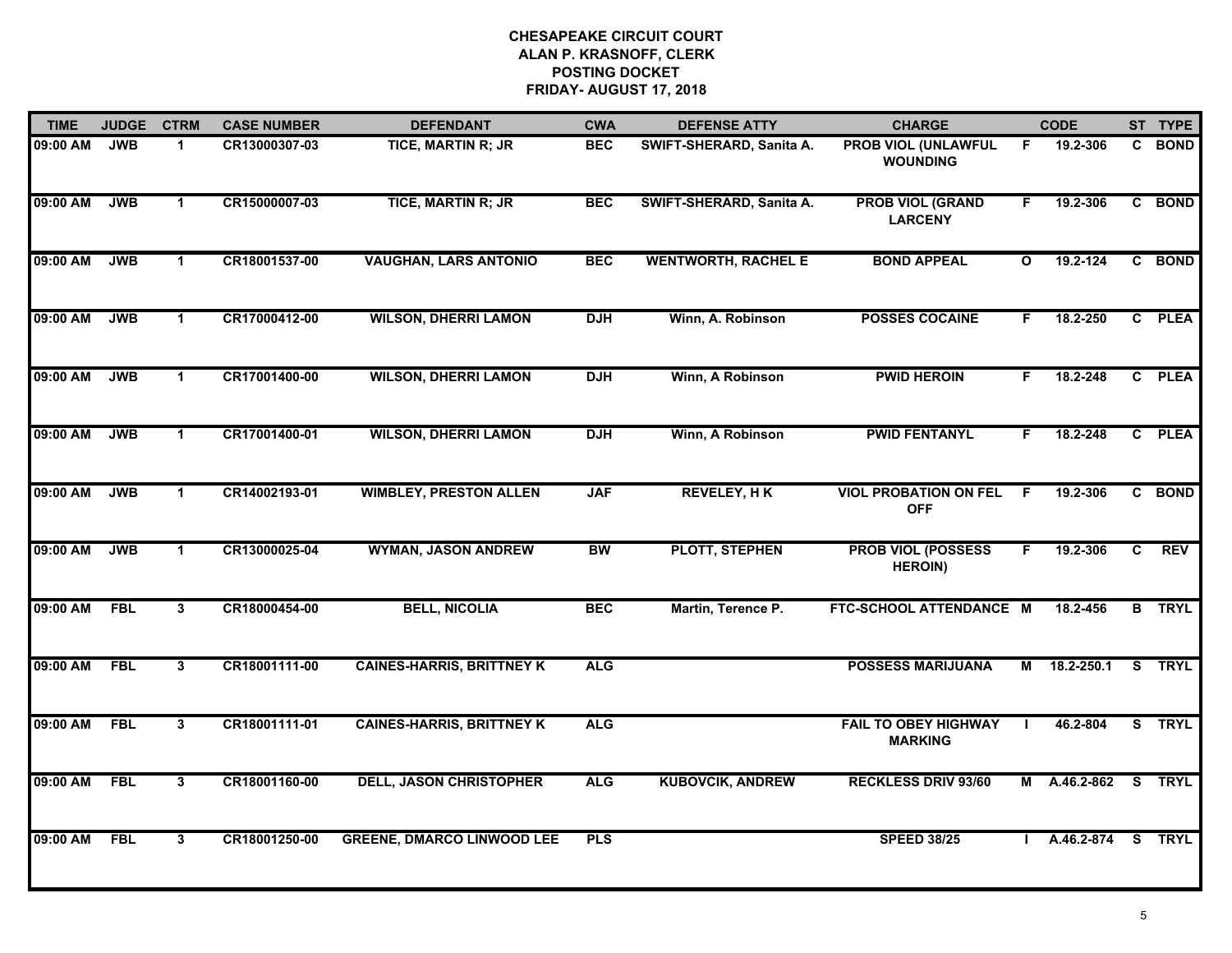| <b>TIME</b> | <b>JUDGE</b> | <b>CTRM</b>    | <b>CASE NUMBER</b> | <b>DEFENDANT</b>                  | <b>CWA</b> | <b>DEFENSE ATTY</b>        | <b>CHARGE</b>                                 |              | <b>CODE</b>       |                | ST TYPE       |
|-------------|--------------|----------------|--------------------|-----------------------------------|------------|----------------------------|-----------------------------------------------|--------------|-------------------|----------------|---------------|
| 09:00 AM    | <b>JWB</b>   | 1.             | CR13000307-03      | <b>TICE, MARTIN R; JR</b>         | <b>BEC</b> | SWIFT-SHERARD, Sanita A.   | <b>PROB VIOL (UNLAWFUL</b><br><b>WOUNDING</b> | F.           | 19.2-306          | C.             | <b>BOND</b>   |
| 09:00 AM    | <b>JWB</b>   | $\mathbf{1}$   | CR15000007-03      | <b>TICE, MARTIN R; JR</b>         | <b>BEC</b> | SWIFT-SHERARD, Sanita A.   | <b>PROB VIOL (GRAND</b><br><b>LARCENY</b>     | F.           | 19.2-306          | $\overline{c}$ | <b>BOND</b>   |
| 09:00 AM    | <b>JWB</b>   | $\mathbf 1$    | CR18001537-00      | <b>VAUGHAN, LARS ANTONIO</b>      | <b>BEC</b> | <b>WENTWORTH, RACHEL E</b> | <b>BOND APPEAL</b>                            | $\mathbf{o}$ | 19.2-124          |                | C BOND        |
| 09:00 AM    | <b>JWB</b>   | $\mathbf 1$    | CR17000412-00      | <b>WILSON, DHERRI LAMON</b>       | <b>DJH</b> | Winn, A. Robinson          | <b>POSSES COCAINE</b>                         | F.           | 18.2-250          | $\mathbf{C}$   | <b>PLEA</b>   |
| 09:00 AM    | <b>JWB</b>   | $\mathbf{1}$   | CR17001400-00      | <b>WILSON, DHERRI LAMON</b>       | <b>DJH</b> | Winn, A Robinson           | <b>PWID HEROIN</b>                            | F.           | 18.2-248          |                | C PLEA        |
| 09:00 AM    | <b>JWB</b>   | $\mathbf 1$    | CR17001400-01      | <b>WILSON, DHERRI LAMON</b>       | <b>DJH</b> | Winn, A Robinson           | <b>PWID FENTANYL</b>                          | F.           | 18.2-248          | $\mathbf{C}$   | <b>PLEA</b>   |
| 09:00 AM    | <b>JWB</b>   | $\mathbf 1$    | CR14002193-01      | <b>WIMBLEY, PRESTON ALLEN</b>     | <b>JAF</b> | <b>REVELEY, HK</b>         | <b>VIOL PROBATION ON FEL</b><br><b>OFF</b>    | F.           | 19.2-306          |                | C BOND        |
| 09:00 AM    | <b>JWB</b>   | $\mathbf 1$    | CR13000025-04      | <b>WYMAN, JASON ANDREW</b>        | <b>BW</b>  | PLOTT, STEPHEN             | <b>PROB VIOL (POSSESS</b><br><b>HEROIN)</b>   | F.           | 19.2-306          | C              | <b>REV</b>    |
| 09:00 AM    | <b>FBL</b>   | 3              | CR18000454-00      | <b>BELL, NICOLIA</b>              | <b>BEC</b> | Martin, Terence P.         | FTC-SCHOOL ATTENDANCE M                       |              | 18.2-456          |                | <b>B</b> TRYL |
| 09:00 AM    | <b>FBL</b>   | $\mathbf{3}$   | CR18001111-00      | <b>CAINES-HARRIS, BRITTNEY K</b>  | <b>ALG</b> |                            | <b>POSSESS MARIJUANA</b>                      |              | M 18.2-250.1      |                | S TRYL        |
| 09:00 AM    | <b>FBL</b>   | $\overline{3}$ | CR18001111-01      | <b>CAINES-HARRIS, BRITTNEY K</b>  | <b>ALG</b> |                            | <b>FAIL TO OBEY HIGHWAY</b><br><b>MARKING</b> | $\mathbf{I}$ | 46.2-804          |                | S TRYL        |
| 09:00 AM    | <b>FBL</b>   | $\overline{3}$ | CR18001160-00      | <b>DELL, JASON CHRISTOPHER</b>    | <b>ALG</b> | <b>KUBOVCIK, ANDREW</b>    | <b>RECKLESS DRIV 93/60</b>                    |              | M A.46.2-862      | s.             | <b>TRYL</b>   |
| 09:00 AM    | <b>FBL</b>   | 3              | CR18001250-00      | <b>GREENE, DMARCO LINWOOD LEE</b> | <b>PLS</b> |                            | <b>SPEED 38/25</b>                            |              | A.46.2-874 S TRYL |                |               |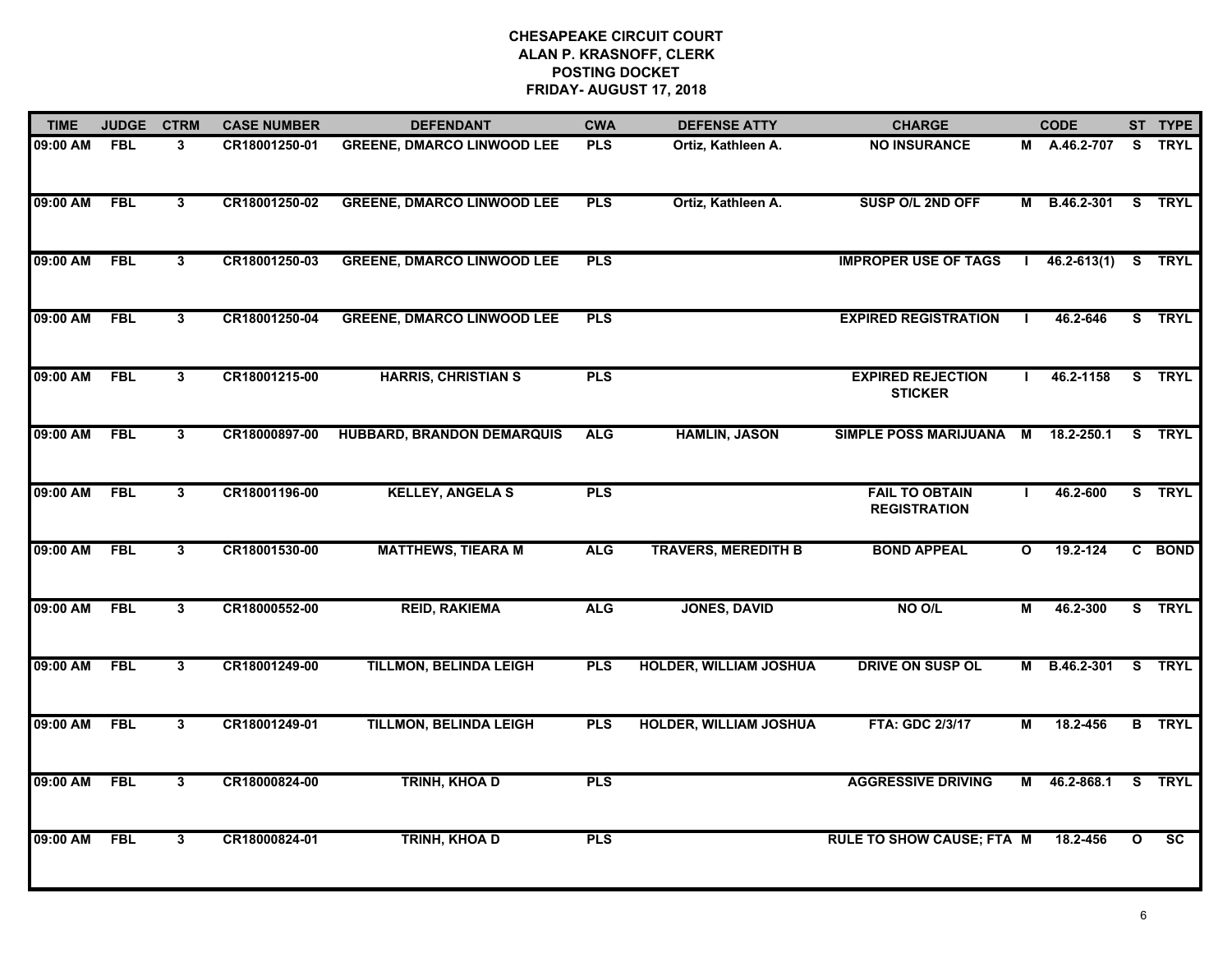| 09:00 AM     | <b>FBL</b> | 3              | CR18001250-01 |                                   |            |                               |                                              |              |                     |              |                        |
|--------------|------------|----------------|---------------|-----------------------------------|------------|-------------------------------|----------------------------------------------|--------------|---------------------|--------------|------------------------|
|              |            |                |               | <b>GREENE, DMARCO LINWOOD LEE</b> | <b>PLS</b> | Ortiz, Kathleen A.            | <b>NO INSURANCE</b>                          |              | M A.46.2-707        |              | S TRYL                 |
| 09:00 AM FBL |            | $\overline{3}$ | CR18001250-02 | <b>GREENE, DMARCO LINWOOD LEE</b> | <b>PLS</b> | Ortiz, Kathleen A.            | SUSP O/L 2ND OFF                             |              | M B.46.2-301 S TRYL |              |                        |
| 09:00 AM     | <b>FBL</b> | $\overline{3}$ | CR18001250-03 | <b>GREENE, DMARCO LINWOOD LEE</b> | <b>PLS</b> |                               | <b>IMPROPER USE OF TAGS</b>                  |              | $46.2 - 613(1)$     |              | S TRYL                 |
| 09:00 AM     | <b>FBL</b> | 3              | CR18001250-04 | <b>GREENE, DMARCO LINWOOD LEE</b> | <b>PLS</b> |                               | <b>EXPIRED REGISTRATION</b>                  |              | 46.2-646            |              | S TRYL                 |
| 09:00 AM     | <b>FBL</b> | 3              | CR18001215-00 | <b>HARRIS, CHRISTIAN S</b>        | <b>PLS</b> |                               | <b>EXPIRED REJECTION</b><br><b>STICKER</b>   |              | 46.2-1158           |              | S TRYL                 |
| 09:00 AM FBL |            | $3\phantom{a}$ | CR18000897-00 | <b>HUBBARD, BRANDON DEMARQUIS</b> | <b>ALG</b> | <b>HAMLIN, JASON</b>          | SIMPLE POSS MARIJUANA M 18.2-250.1           |              |                     |              | S TRYL                 |
| 09:00 AM     | FBL        | $\mathbf{3}$   | CR18001196-00 | <b>KELLEY, ANGELA S</b>           | <b>PLS</b> |                               | <b>FAIL TO OBTAIN</b><br><b>REGISTRATION</b> |              | 46.2-600            |              | S TRYL                 |
| 09:00 AM     | FBL        | $\overline{3}$ | CR18001530-00 | <b>MATTHEWS, TIEARA M</b>         | <b>ALG</b> | <b>TRAVERS, MEREDITH B</b>    | <b>BOND APPEAL</b>                           | $\mathbf{o}$ | 19.2-124            |              | C BOND                 |
| 09:00 AM     | <b>FBL</b> | 3 <sup>1</sup> | CR18000552-00 | <b>REID, RAKIEMA</b>              | <b>ALG</b> | <b>JONES, DAVID</b>           | NO O/L                                       | М            | 46.2-300            |              | S TRYL                 |
| 09:00 AM     | <b>FBL</b> | 3              | CR18001249-00 | <b>TILLMON, BELINDA LEIGH</b>     | <b>PLS</b> | <b>HOLDER, WILLIAM JOSHUA</b> | DRIVE ON SUSP OL                             |              | M B.46.2-301        |              | S TRYL                 |
| 09:00 AM     | <b>FBL</b> | 3              | CR18001249-01 | <b>TILLMON, BELINDA LEIGH</b>     | <b>PLS</b> | <b>HOLDER, WILLIAM JOSHUA</b> | <b>FTA: GDC 2/3/17</b>                       | М            | 18.2-456            |              | <b>B</b> TRYL          |
| 09:00 AM     | FBL        | 3              | CR18000824-00 | <b>TRINH, KHOA D</b>              | <b>PLS</b> |                               | <b>AGGRESSIVE DRIVING</b>                    | Μ            | 46.2-868.1          | <b>S</b>     | <b>TRYL</b>            |
| 09:00 AM     | <b>FBL</b> | $\overline{3}$ | CR18000824-01 | <b>TRINH, KHOA D</b>              | <b>PLS</b> |                               | <b>RULE TO SHOW CAUSE; FTA M</b>             |              | 18.2-456            | $\mathbf{o}$ | $\overline{\text{sc}}$ |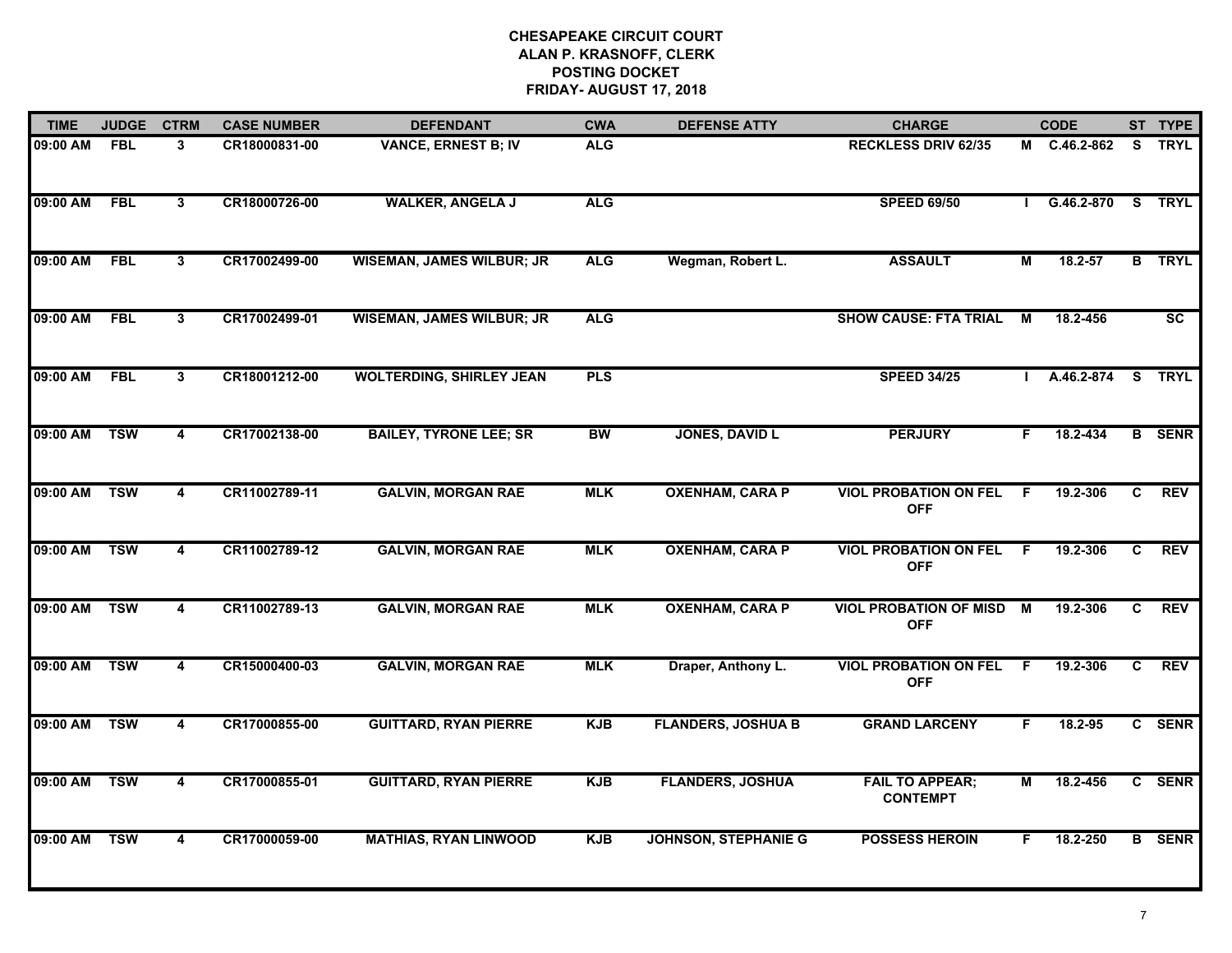| <b>TIME</b>  | <b>JUDGE</b>              | <b>CTRM</b>             | <b>CASE NUMBER</b> | <b>DEFENDANT</b>                 | <b>CWA</b> | <b>DEFENSE ATTY</b>         | <b>CHARGE</b>                               |     | <b>CODE</b>         |   | ST TYPE       |
|--------------|---------------------------|-------------------------|--------------------|----------------------------------|------------|-----------------------------|---------------------------------------------|-----|---------------------|---|---------------|
| 09:00 AM     | <b>FBL</b>                | 3.                      | CR18000831-00      | <b>VANCE, ERNEST B; IV</b>       | <b>ALG</b> |                             | <b>RECKLESS DRIV 62/35</b>                  |     | M C.46.2-862        |   | S TRYL        |
| 09:00 AM     | <b>FBL</b>                | 3                       | CR18000726-00      | <b>WALKER, ANGELA J</b>          | <b>ALG</b> |                             | <b>SPEED 69/50</b>                          |     | I G.46.2-870 S TRYL |   |               |
| 09:00 AM     | FBL                       | $\overline{3}$          | CR17002499-00      | <b>WISEMAN, JAMES WILBUR; JR</b> | <b>ALG</b> | Wegman, Robert L.           | <b>ASSAULT</b>                              | М   | 18.2-57             |   | <b>B</b> TRYL |
| 09:00 AM     | <b>FBL</b>                | $\mathbf{3}$            | CR17002499-01      | <b>WISEMAN, JAMES WILBUR; JR</b> | <b>ALG</b> |                             | <b>SHOW CAUSE: FTA TRIAL</b>                | М   | 18.2-456            |   | <b>SC</b>     |
| 09:00 AM     | <b>FBL</b>                | 3                       | CR18001212-00      | <b>WOLTERDING, SHIRLEY JEAN</b>  | <b>PLS</b> |                             | <b>SPEED 34/25</b>                          |     | A.46.2-874          |   | S TRYL        |
| 09:00 AM TSW |                           | 4                       | CR17002138-00      | <b>BAILEY, TYRONE LEE; SR</b>    | <b>BW</b>  | <b>JONES, DAVID L</b>       | <b>PERJURY</b>                              | F.  | 18.2-434            |   | <b>B</b> SENR |
| 09:00 AM TSW |                           | 4                       | CR11002789-11      | <b>GALVIN, MORGAN RAE</b>        | <b>MLK</b> | <b>OXENHAM, CARA P</b>      | <b>VIOL PROBATION ON FEL</b><br><b>OFF</b>  | - F | 19.2-306            | C | <b>REV</b>    |
| 09:00 AM     | $\overline{\mathsf{TSW}}$ | $\overline{\mathbf{4}}$ | CR11002789-12      | <b>GALVIN, MORGAN RAE</b>        | <b>MLK</b> | <b>OXENHAM, CARA P</b>      | <b>VIOL PROBATION ON FEL</b><br><b>OFF</b>  | - F | 19.2-306            | C | <b>REV</b>    |
| 09:00 AM     | <b>TSW</b>                | 4                       | CR11002789-13      | <b>GALVIN, MORGAN RAE</b>        | <b>MLK</b> | <b>OXENHAM, CARA P</b>      | <b>VIOL PROBATION OF MISD</b><br><b>OFF</b> | M   | 19.2-306            | C | <b>REV</b>    |
| 09:00 AM     | <b>TSW</b>                | 4                       | CR15000400-03      | <b>GALVIN, MORGAN RAE</b>        | <b>MLK</b> | Draper, Anthony L.          | <b>VIOL PROBATION ON FEL</b><br><b>OFF</b>  | F   | 19.2-306            | C | <b>REV</b>    |
| 09:00 AM TSW |                           | 4                       | CR17000855-00      | <b>GUITTARD, RYAN PIERRE</b>     | <b>KJB</b> | <b>FLANDERS, JOSHUA B</b>   | <b>GRAND LARCENY</b>                        | F.  | 18.2-95             |   | C SENR        |
| 09:00 AM TSW |                           | 4                       | CR17000855-01      | <b>GUITTARD, RYAN PIERRE</b>     | <b>KJB</b> | <b>FLANDERS, JOSHUA</b>     | <b>FAIL TO APPEAR;</b><br><b>CONTEMPT</b>   | М   | 18.2-456            |   | C SENR        |
| 09:00 AM     | <b>TSW</b>                | 4                       | CR17000059-00      | <b>MATHIAS, RYAN LINWOOD</b>     | <b>KJB</b> | <b>JOHNSON, STEPHANIE G</b> | <b>POSSESS HEROIN</b>                       | F   | 18.2-250            |   | <b>B</b> SENR |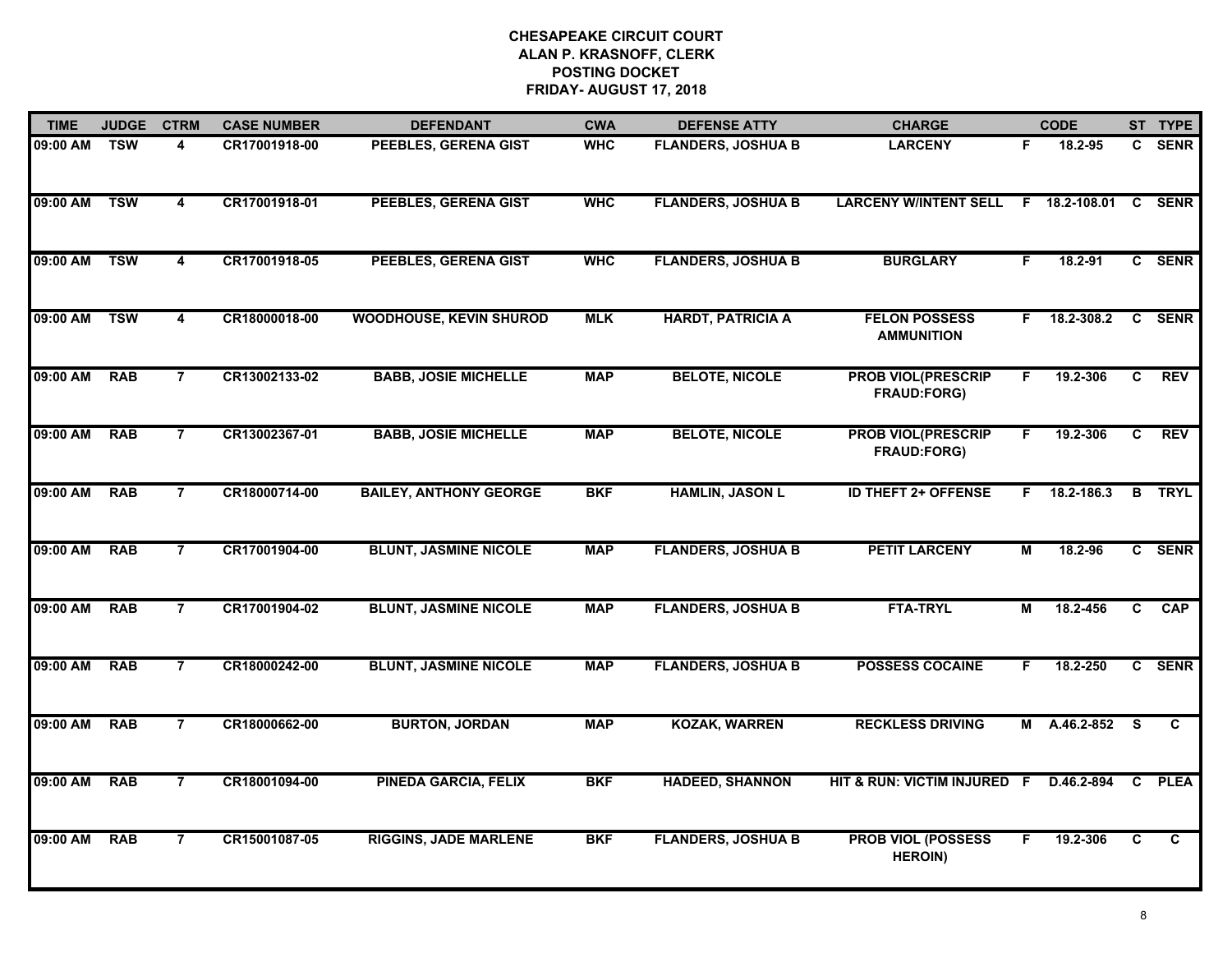| <b>TIME</b>  | <b>JUDGE</b> | <b>CTRM</b>             | <b>CASE NUMBER</b> | <b>DEFENDANT</b>               | <b>CWA</b> | <b>DEFENSE ATTY</b>       | <b>CHARGE</b>                                   |    | <b>CODE</b>     |          | ST TYPE     |
|--------------|--------------|-------------------------|--------------------|--------------------------------|------------|---------------------------|-------------------------------------------------|----|-----------------|----------|-------------|
| 09:00 AM TSW |              | 4                       | CR17001918-00      | PEEBLES, GERENA GIST           | <b>WHC</b> | <b>FLANDERS, JOSHUA B</b> | <b>LARCENY</b>                                  | F. | 18.2-95         | C.       | <b>SENR</b> |
| 09:00 AM     | <b>TSW</b>   | $\overline{\mathbf{4}}$ | CR17001918-01      | PEEBLES, GERENA GIST           | <b>WHC</b> | <b>FLANDERS, JOSHUA B</b> | <b>LARCENY W/INTENT SELL</b>                    |    | $F$ 18.2-108.01 | C        | <b>SENR</b> |
| 09:00 AM     | <b>TSW</b>   | $\overline{\mathbf{4}}$ | CR17001918-05      | PEEBLES, GERENA GIST           | <b>WHC</b> | <b>FLANDERS, JOSHUA B</b> | <b>BURGLARY</b>                                 | F. | 18.2-91         |          | C SENR      |
| 09:00 AM     | <b>TSW</b>   | 4                       | CR18000018-00      | <b>WOODHOUSE, KEVIN SHUROD</b> | <b>MLK</b> | <b>HARDT, PATRICIA A</b>  | <b>FELON POSSESS</b><br><b>AMMUNITION</b>       | F. | 18.2-308.2      |          | C SENR      |
| 09:00 AM     | <b>RAB</b>   | $\overline{7}$          | CR13002133-02      | <b>BABB, JOSIE MICHELLE</b>    | <b>MAP</b> | <b>BELOTE, NICOLE</b>     | <b>PROB VIOL(PRESCRIP</b><br><b>FRAUD:FORG)</b> | F. | 19.2-306        | C        | <b>REV</b>  |
| 09:00 AM     | <b>RAB</b>   | $\overline{7}$          | CR13002367-01      | <b>BABB, JOSIE MICHELLE</b>    | <b>MAP</b> | <b>BELOTE, NICOLE</b>     | <b>PROB VIOL(PRESCRIP</b><br><b>FRAUD:FORG)</b> | F. | 19.2-306        | C        | <b>REV</b>  |
| 09:00 AM     | <b>RAB</b>   | $\overline{7}$          | CR18000714-00      | <b>BAILEY, ANTHONY GEORGE</b>  | <b>BKF</b> | <b>HAMLIN, JASON L</b>    | <b>ID THEFT 2+ OFFENSE</b>                      | F. | 18.2-186.3      | B        | <b>TRYL</b> |
| 09:00 AM     | <b>RAB</b>   | $\overline{7}$          | CR17001904-00      | <b>BLUNT, JASMINE NICOLE</b>   | <b>MAP</b> | <b>FLANDERS, JOSHUA B</b> | <b>PETIT LARCENY</b>                            | М  | 18.2-96         |          | C SENR      |
| 09:00 AM     | <b>RAB</b>   | $\overline{7}$          | CR17001904-02      | <b>BLUNT, JASMINE NICOLE</b>   | <b>MAP</b> | <b>FLANDERS, JOSHUA B</b> | <b>FTA-TRYL</b>                                 | М  | 18.2-456        | C.       | <b>CAP</b>  |
| 09:00 AM     | <b>RAB</b>   | $\overline{7}$          | CR18000242-00      | <b>BLUNT, JASMINE NICOLE</b>   | <b>MAP</b> | <b>FLANDERS, JOSHUA B</b> | <b>POSSESS COCAINE</b>                          | F. | 18.2-250        |          | C SENR      |
| 09:00 AM     | <b>RAB</b>   | $\overline{7}$          | CR18000662-00      | <b>BURTON, JORDAN</b>          | <b>MAP</b> | <b>KOZAK, WARREN</b>      | <b>RECKLESS DRIVING</b>                         |    | M A.46.2-852    | <b>S</b> | C           |
| 09:00 AM     | <b>RAB</b>   | $\overline{7}$          | CR18001094-00      | <b>PINEDA GARCIA, FELIX</b>    | <b>BKF</b> | <b>HADEED, SHANNON</b>    | HIT & RUN: VICTIM INJURED F                     |    | D.46.2-894      | C        | <b>PLEA</b> |
| 09:00 AM     | <b>RAB</b>   | $\overline{7}$          | CR15001087-05      | <b>RIGGINS, JADE MARLENE</b>   | <b>BKF</b> | <b>FLANDERS, JOSHUA B</b> | <b>PROB VIOL (POSSESS</b><br><b>HEROIN)</b>     | F. | 19.2-306        | C        | C           |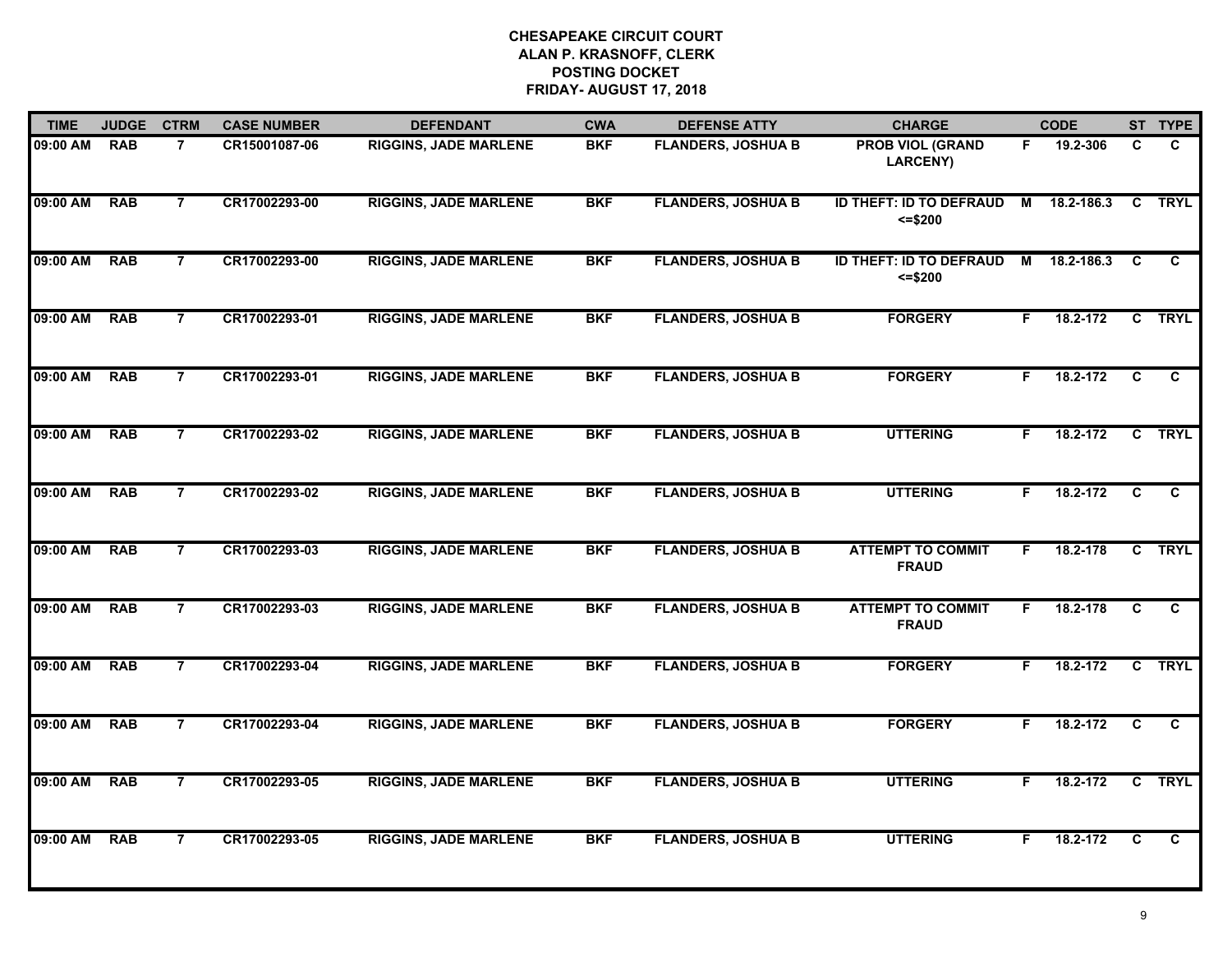| <b>TIME</b> | <b>JUDGE</b> | <b>CTRM</b>    | <b>CASE NUMBER</b> | <b>DEFENDANT</b>             | <b>CWA</b> | <b>DEFENSE ATTY</b>       | <b>CHARGE</b>                              |    | <b>CODE</b> |                | ST TYPE        |
|-------------|--------------|----------------|--------------------|------------------------------|------------|---------------------------|--------------------------------------------|----|-------------|----------------|----------------|
| 09:00 AM    | <b>RAB</b>   | $\overline{7}$ | CR15001087-06      | <b>RIGGINS, JADE MARLENE</b> | <b>BKF</b> | <b>FLANDERS, JOSHUA B</b> | <b>PROB VIOL (GRAND</b><br>LARCENY)        | F. | 19.2-306    | C              | C              |
| 09:00 AM    | RAB          | $\overline{7}$ | CR17002293-00      | <b>RIGGINS, JADE MARLENE</b> | <b>BKF</b> | <b>FLANDERS, JOSHUA B</b> | <b>ID THEFT: ID TO DEFRAUD</b><br>$= $200$ | M  | 18.2-186.3  | $\mathbf{c}$   | <b>TRYL</b>    |
| 09:00 AM    | <b>RAB</b>   | $\overline{7}$ | CR17002293-00      | <b>RIGGINS, JADE MARLENE</b> | <b>BKF</b> | <b>FLANDERS, JOSHUA B</b> | <b>ID THEFT: ID TO DEFRAUD</b><br>$= $200$ | M  | 18.2-186.3  | C.             | C              |
| 09:00 AM    | <b>RAB</b>   | $\overline{7}$ | CR17002293-01      | <b>RIGGINS, JADE MARLENE</b> | <b>BKF</b> | <b>FLANDERS, JOSHUA B</b> | <b>FORGERY</b>                             | F. | 18.2-172    | $\mathbf{c}$   | <b>TRYL</b>    |
| 09:00 AM    | <b>RAB</b>   | $\overline{7}$ | CR17002293-01      | <b>RIGGINS, JADE MARLENE</b> | <b>BKF</b> | <b>FLANDERS, JOSHUA B</b> | <b>FORGERY</b>                             | F. | 18.2-172    | C              | $\mathbf{c}$   |
| 09:00 AM    | <b>RAB</b>   | $\overline{7}$ | CR17002293-02      | <b>RIGGINS, JADE MARLENE</b> | <b>BKF</b> | <b>FLANDERS, JOSHUA B</b> | <b>UTTERING</b>                            | F. | 18.2-172    |                | C TRYL         |
| 09:00 AM    | <b>RAB</b>   | $\overline{7}$ | CR17002293-02      | <b>RIGGINS, JADE MARLENE</b> | <b>BKF</b> | <b>FLANDERS, JOSHUA B</b> | <b>UTTERING</b>                            | F  | 18.2-172    | $\overline{c}$ | $\overline{c}$ |
| 09:00 AM    | <b>RAB</b>   | $\overline{7}$ | CR17002293-03      | <b>RIGGINS, JADE MARLENE</b> | <b>BKF</b> | <b>FLANDERS, JOSHUA B</b> | <b>ATTEMPT TO COMMIT</b><br><b>FRAUD</b>   | F. | 18.2-178    |                | C TRYL         |
| 09:00 AM    | <b>RAB</b>   | $\overline{7}$ | CR17002293-03      | <b>RIGGINS, JADE MARLENE</b> | <b>BKF</b> | <b>FLANDERS, JOSHUA B</b> | <b>ATTEMPT TO COMMIT</b><br><b>FRAUD</b>   | F. | 18.2-178    | C              | C              |
| 09:00 AM    | <b>RAB</b>   | $\overline{7}$ | CR17002293-04      | <b>RIGGINS, JADE MARLENE</b> | <b>BKF</b> | <b>FLANDERS, JOSHUA B</b> | <b>FORGERY</b>                             | F. | 18.2-172    |                | C TRYL         |
| 09:00 AM    | <b>RAB</b>   | $\overline{7}$ | CR17002293-04      | <b>RIGGINS, JADE MARLENE</b> | <b>BKF</b> | <b>FLANDERS, JOSHUA B</b> | <b>FORGERY</b>                             | F. | 18.2-172    | C              | C              |
| 09:00 AM    | <b>RAB</b>   | $\overline{7}$ | CR17002293-05      | <b>RIGGINS, JADE MARLENE</b> | <b>BKF</b> | <b>FLANDERS, JOSHUA B</b> | <b>UTTERING</b>                            | F. | 18.2-172    |                | C TRYL         |
| 09:00 AM    | <b>RAB</b>   | $\overline{7}$ | CR17002293-05      | <b>RIGGINS, JADE MARLENE</b> | <b>BKF</b> | <b>FLANDERS, JOSHUA B</b> | <b>UTTERING</b>                            | F. | 18.2-172    | C              | C.             |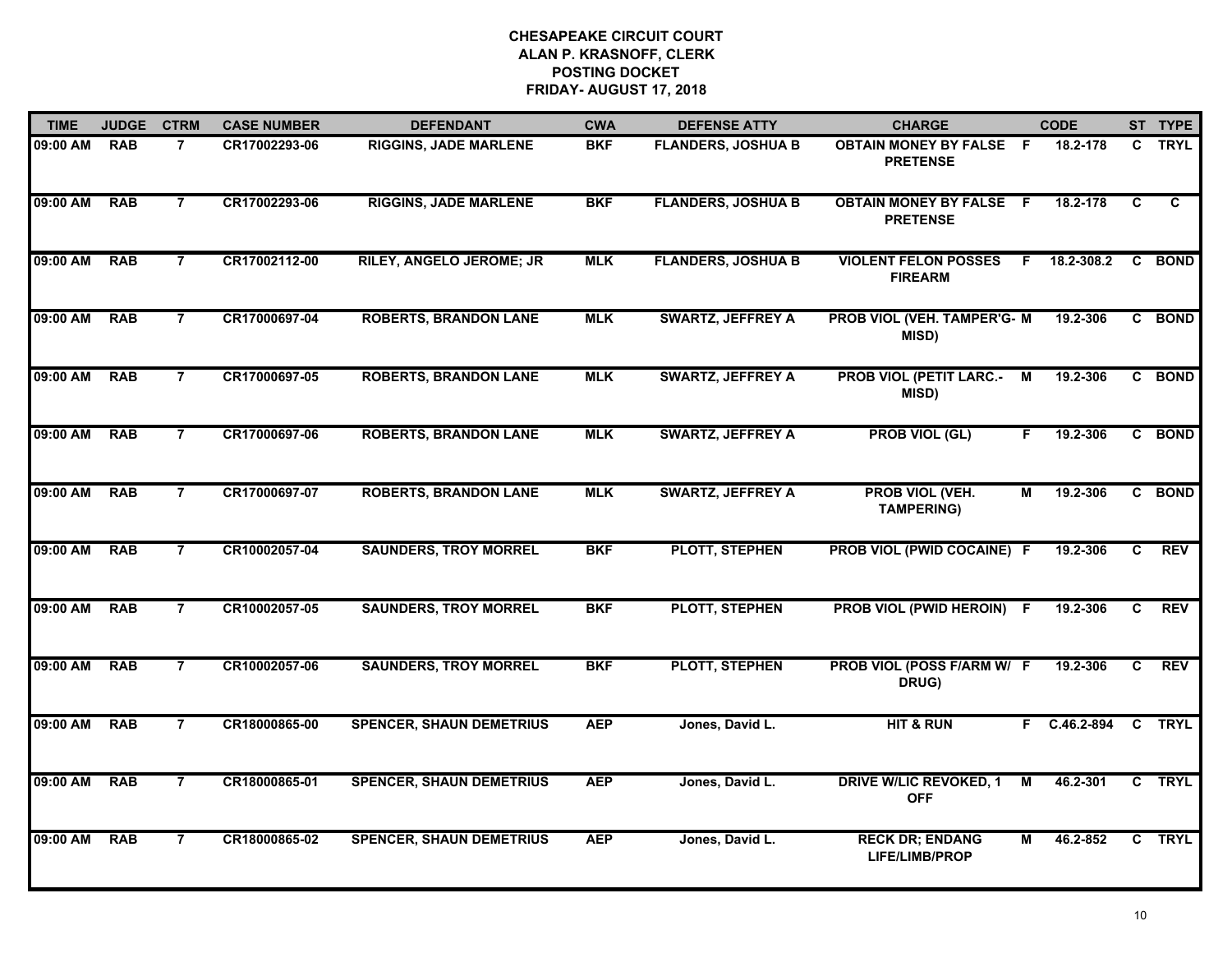| <b>TIME</b>  | <b>JUDGE</b> | <b>CTRM</b>    | <b>CASE NUMBER</b> | <b>DEFENDANT</b>                | <b>CWA</b> | <b>DEFENSE ATTY</b>       | <b>CHARGE</b>                                     |    | <b>CODE</b>  |    | ST TYPE     |
|--------------|--------------|----------------|--------------------|---------------------------------|------------|---------------------------|---------------------------------------------------|----|--------------|----|-------------|
| 09:00 AM     | <b>RAB</b>   | $\overline{7}$ | CR17002293-06      | <b>RIGGINS, JADE MARLENE</b>    | <b>BKF</b> | <b>FLANDERS, JOSHUA B</b> | <b>OBTAIN MONEY BY FALSE F</b><br><b>PRETENSE</b> |    | 18.2-178     | C. | <b>TRYL</b> |
| 09:00 AM     | <b>RAB</b>   | $\overline{7}$ | CR17002293-06      | <b>RIGGINS, JADE MARLENE</b>    | <b>BKF</b> | <b>FLANDERS, JOSHUA B</b> | <b>OBTAIN MONEY BY FALSE F</b><br><b>PRETENSE</b> |    | 18.2-178     | C  | C           |
| 09:00 AM     | <b>RAB</b>   | $\overline{7}$ | CR17002112-00      | <b>RILEY, ANGELO JEROME; JR</b> | <b>MLK</b> | <b>FLANDERS, JOSHUA B</b> | <b>VIOLENT FELON POSSES</b><br><b>FIREARM</b>     | F. | 18.2-308.2   |    | C BOND      |
| 09:00 AM     | <b>RAB</b>   | $\overline{7}$ | CR17000697-04      | <b>ROBERTS, BRANDON LANE</b>    | <b>MLK</b> | <b>SWARTZ, JEFFREY A</b>  | PROB VIOL (VEH. TAMPER'G- M<br>MISD)              |    | 19.2-306     |    | C BOND      |
| 09:00 AM     | <b>RAB</b>   | $\overline{7}$ | CR17000697-05      | <b>ROBERTS, BRANDON LANE</b>    | <b>MLK</b> | <b>SWARTZ, JEFFREY A</b>  | <b>PROB VIOL (PETIT LARC.-</b><br>MISD)           | М  | 19.2-306     |    | C BOND      |
| 09:00 AM RAB |              | $\overline{7}$ | CR17000697-06      | <b>ROBERTS, BRANDON LANE</b>    | <b>MLK</b> | <b>SWARTZ, JEFFREY A</b>  | <b>PROB VIOL (GL)</b>                             | F. | 19.2-306     |    | C BOND      |
| 09:00 AM     | <b>RAB</b>   | $\overline{7}$ | CR17000697-07      | <b>ROBERTS, BRANDON LANE</b>    | <b>MLK</b> | <b>SWARTZ, JEFFREY A</b>  | PROB VIOL (VEH.<br><b>TAMPERING)</b>              | М  | 19.2-306     |    | C BOND      |
| 09:00 AM     | <b>RAB</b>   | $\overline{7}$ | CR10002057-04      | <b>SAUNDERS, TROY MORREL</b>    | <b>BKF</b> | <b>PLOTT, STEPHEN</b>     | PROB VIOL (PWID COCAINE) F                        |    | 19.2-306     | C  | <b>REV</b>  |
| 09:00 AM     | <b>RAB</b>   | $\overline{7}$ | CR10002057-05      | <b>SAUNDERS, TROY MORREL</b>    | <b>BKF</b> | PLOTT, STEPHEN            | PROB VIOL (PWID HEROIN)                           | -F | 19.2-306     | C. | <b>REV</b>  |
| 09:00 AM     | <b>RAB</b>   | $\overline{7}$ | CR10002057-06      | <b>SAUNDERS, TROY MORREL</b>    | <b>BKF</b> | <b>PLOTT, STEPHEN</b>     | PROB VIOL (POSS F/ARM W/ F<br>DRUG)               |    | 19.2-306     | C  | <b>REV</b>  |
| 09:00 AM RAB |              | $\overline{7}$ | CR18000865-00      | <b>SPENCER, SHAUN DEMETRIUS</b> | <b>AEP</b> | Jones, David L.           | <b>HIT &amp; RUN</b>                              |    | F C.46.2-894 |    | C TRYL      |
| 09:00 AM     | RAB          | $\overline{7}$ | CR18000865-01      | <b>SPENCER, SHAUN DEMETRIUS</b> | <b>AEP</b> | Jones, David L.           | <b>DRIVE W/LIC REVOKED, 1</b><br><b>OFF</b>       | M  | 46.2-301     |    | C TRYL      |
| 09:00 AM     | <b>RAB</b>   | $\overline{7}$ | CR18000865-02      | <b>SPENCER, SHAUN DEMETRIUS</b> | <b>AEP</b> | Jones, David L.           | <b>RECK DR; ENDANG</b><br>LIFE/LIMB/PROP          | М  | 46.2-852     |    | C TRYL      |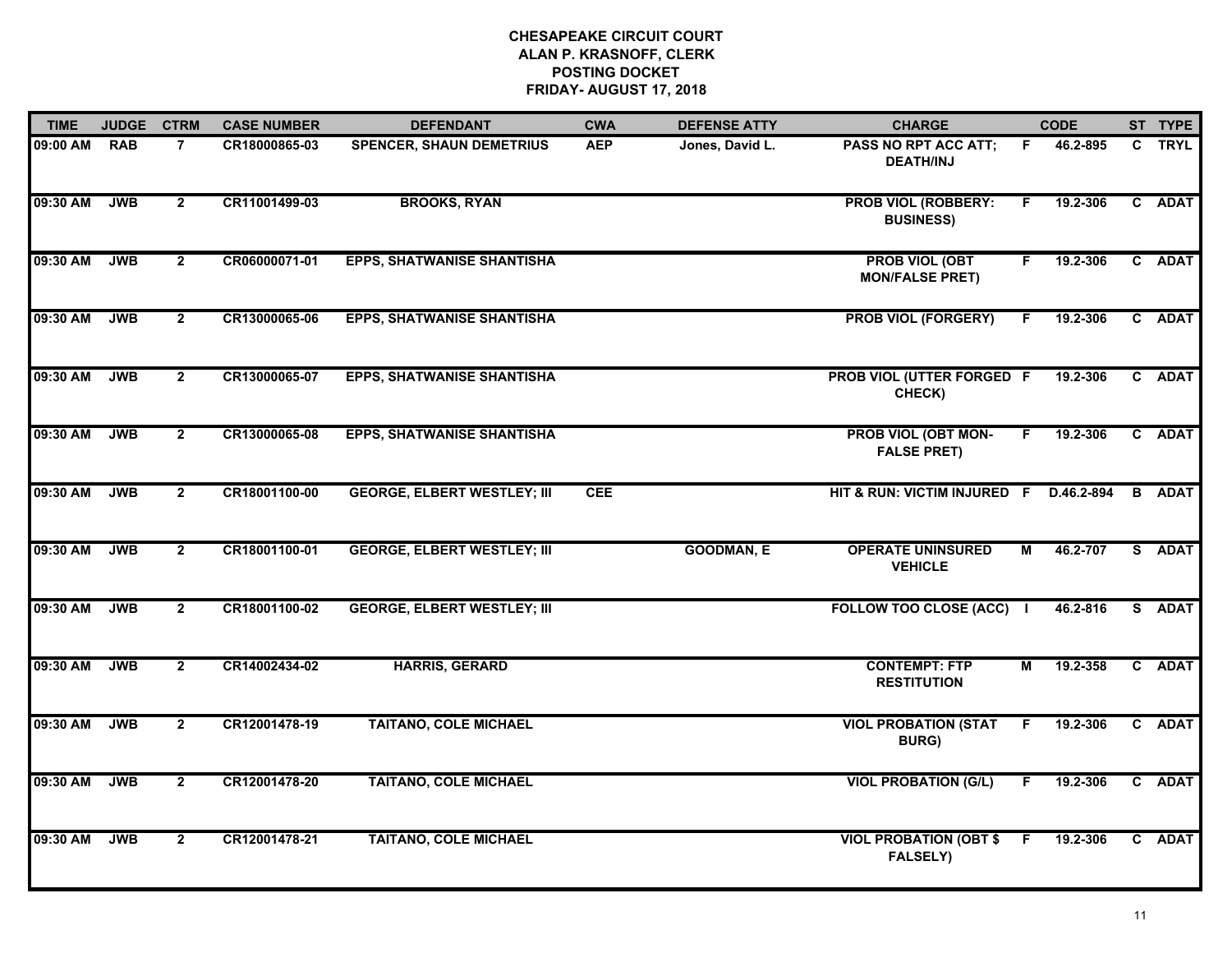| <b>TIME</b> | <b>JUDGE</b> | <b>CTRM</b>    | <b>CASE NUMBER</b> | <b>DEFENDANT</b>                   | <b>CWA</b> | <b>DEFENSE ATTY</b> | <b>CHARGE</b>                                    |    | <b>CODE</b> | ST TYPE       |
|-------------|--------------|----------------|--------------------|------------------------------------|------------|---------------------|--------------------------------------------------|----|-------------|---------------|
| 09:00 AM    | <b>RAB</b>   | $\overline{7}$ | CR18000865-03      | <b>SPENCER, SHAUN DEMETRIUS</b>    | <b>AEP</b> | Jones, David L.     | <b>PASS NO RPT ACC ATT:</b><br><b>DEATH/INJ</b>  | F. | 46.2-895    | C TRYL        |
| 09:30 AM    | <b>JWB</b>   | $\overline{2}$ | CR11001499-03      | <b>BROOKS, RYAN</b>                |            |                     | <b>PROB VIOL (ROBBERY:</b><br><b>BUSINESS)</b>   | F  | 19.2-306    | C ADAT        |
| 09:30 AM    | <b>JWB</b>   | $\overline{2}$ | CR06000071-01      | <b>EPPS, SHATWANISE SHANTISHA</b>  |            |                     | <b>PROB VIOL (OBT</b><br><b>MON/FALSE PRET)</b>  | F. | 19.2-306    | C ADAT        |
| 09:30 AM    | <b>JWB</b>   | $\overline{2}$ | CR13000065-06      | <b>EPPS, SHATWANISE SHANTISHA</b>  |            |                     | <b>PROB VIOL (FORGERY)</b>                       | F. | 19.2-306    | C ADAT        |
| 09:30 AM    | <b>JWB</b>   | $\overline{2}$ | CR13000065-07      | <b>EPPS, SHATWANISE SHANTISHA</b>  |            |                     | PROB VIOL (UTTER FORGED F<br>CHECK)              |    | 19.2-306    | C ADAT        |
| 09:30 AM    | <b>JWB</b>   | $\overline{2}$ | CR13000065-08      | <b>EPPS, SHATWANISE SHANTISHA</b>  |            |                     | PROB VIOL (OBT MON-<br><b>FALSE PRET)</b>        | F. | 19.2-306    | C ADAT        |
| 09:30 AM    | <b>JWB</b>   | $\overline{2}$ | CR18001100-00      | <b>GEORGE, ELBERT WESTLEY; III</b> | <b>CEE</b> |                     | HIT & RUN: VICTIM INJURED F D.46.2-894           |    |             | <b>B</b> ADAT |
| 09:30 AM    | <b>JWB</b>   | $\overline{2}$ | CR18001100-01      | <b>GEORGE, ELBERT WESTLEY; III</b> |            | <b>GOODMAN, E</b>   | <b>OPERATE UNINSURED</b><br><b>VEHICLE</b>       | М  | 46.2-707    | S ADAT        |
| 09:30 AM    | <b>JWB</b>   | $\overline{2}$ | CR18001100-02      | <b>GEORGE, ELBERT WESTLEY; III</b> |            |                     | <b>FOLLOW TOO CLOSE (ACC)</b>                    |    | 46.2-816    | S ADAT        |
| 09:30 AM    | <b>JWB</b>   | $\mathbf{2}$   | CR14002434-02      | <b>HARRIS, GERARD</b>              |            |                     | <b>CONTEMPT: FTP</b><br><b>RESTITUTION</b>       | М  | 19.2-358    | C ADAT        |
| 09:30 AM    | <b>JWB</b>   | $\mathbf{2}$   | CR12001478-19      | <b>TAITANO, COLE MICHAEL</b>       |            |                     | <b>VIOL PROBATION (STAT</b><br><b>BURG)</b>      | F. | 19.2-306    | C ADAT        |
| 09:30 AM    | <b>JWB</b>   | $\overline{2}$ | CR12001478-20      | <b>TAITANO, COLE MICHAEL</b>       |            |                     | <b>VIOL PROBATION (G/L)</b>                      | F. | 19.2-306    | C ADAT        |
| 09:30 AM    | <b>JWB</b>   | $\overline{2}$ | CR12001478-21      | <b>TAITANO, COLE MICHAEL</b>       |            |                     | <b>VIOL PROBATION (OBT \$</b><br><b>FALSELY)</b> | F. | 19.2-306    | C ADAT        |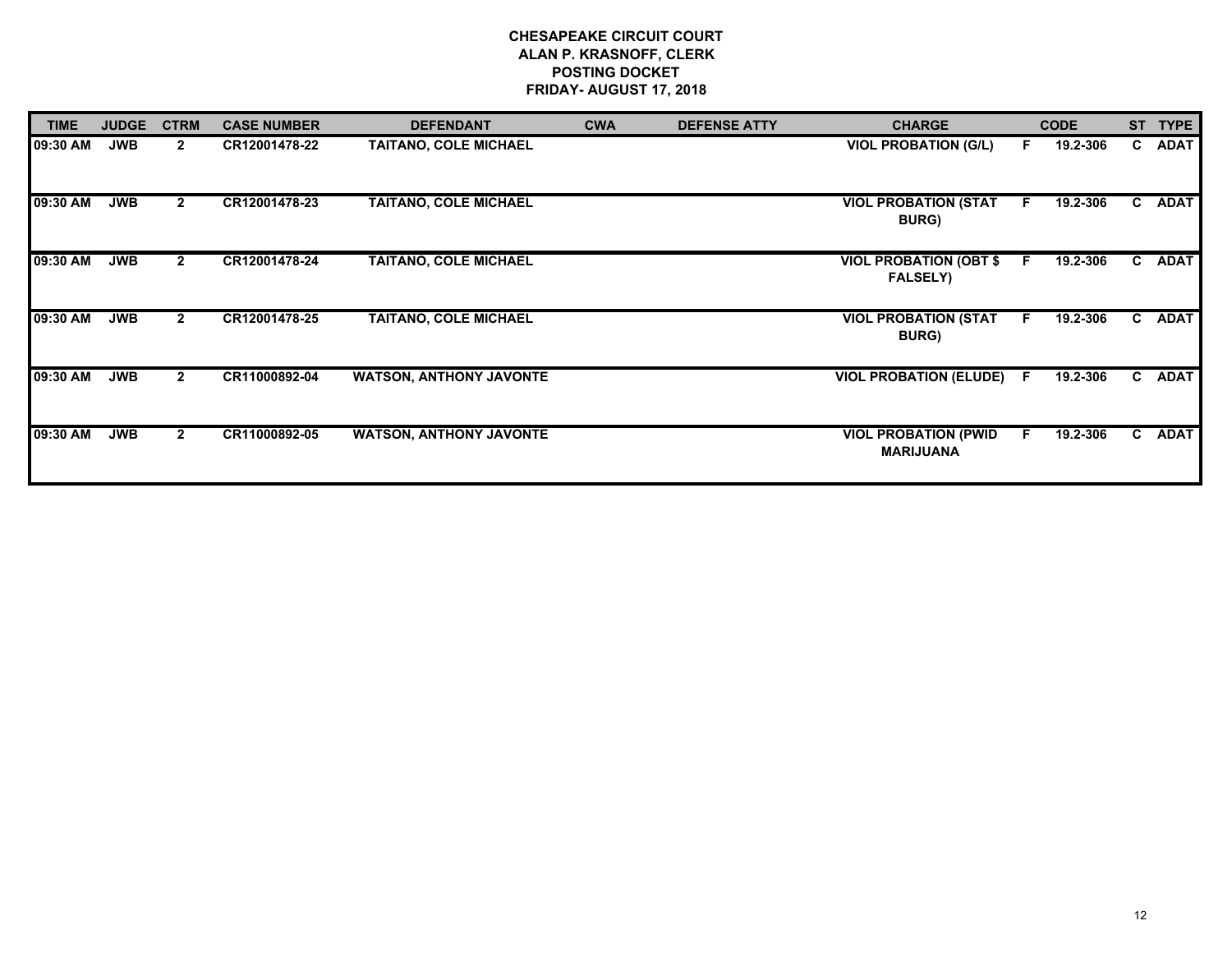| <b>TIME</b> | <b>JUDGE</b> | <b>CTRM</b>    | <b>CASE NUMBER</b> | <b>DEFENDANT</b>               | <b>CWA</b> | <b>DEFENSE ATTY</b> | <b>CHARGE</b>                                    |    | <b>CODE</b> | <b>ST</b> | <b>TYPE</b> |
|-------------|--------------|----------------|--------------------|--------------------------------|------------|---------------------|--------------------------------------------------|----|-------------|-----------|-------------|
| 09:30 AM    | <b>JWB</b>   | $\mathbf{2}$   | CR12001478-22      | <b>TAITANO, COLE MICHAEL</b>   |            |                     | <b>VIOL PROBATION (G/L)</b>                      | F. | 19.2-306    | C.        | <b>ADAT</b> |
| 09:30 AM    | <b>JWB</b>   | $\mathbf{2}$   | CR12001478-23      | <b>TAITANO, COLE MICHAEL</b>   |            |                     | <b>VIOL PROBATION (STAT</b><br><b>BURG</b> )     | F. | 19.2-306    | C.        | ADAT        |
| 09:30 AM    | <b>JWB</b>   | $\mathbf{2}$   | CR12001478-24      | <b>TAITANO, COLE MICHAEL</b>   |            |                     | <b>VIOL PROBATION (OBT \$</b><br><b>FALSELY)</b> | F. | 19.2-306    | C.        | <b>ADAT</b> |
| 09:30 AM    | <b>JWB</b>   | $\overline{2}$ | CR12001478-25      | <b>TAITANO, COLE MICHAEL</b>   |            |                     | <b>VIOL PROBATION (STAT</b><br><b>BURG</b> )     | F. | 19.2-306    | C.        | <b>ADAT</b> |
| 09:30 AM    | <b>JWB</b>   | $\overline{2}$ | CR11000892-04      | <b>WATSON, ANTHONY JAVONTE</b> |            |                     | <b>VIOL PROBATION (ELUDE)</b>                    | F. | 19.2-306    | C.        | <b>ADAT</b> |
| 09:30 AM    | <b>JWB</b>   | $\overline{2}$ | CR11000892-05      | <b>WATSON, ANTHONY JAVONTE</b> |            |                     | <b>VIOL PROBATION (PWID</b><br><b>MARIJUANA</b>  | F. | 19.2-306    | C.        | <b>ADAT</b> |